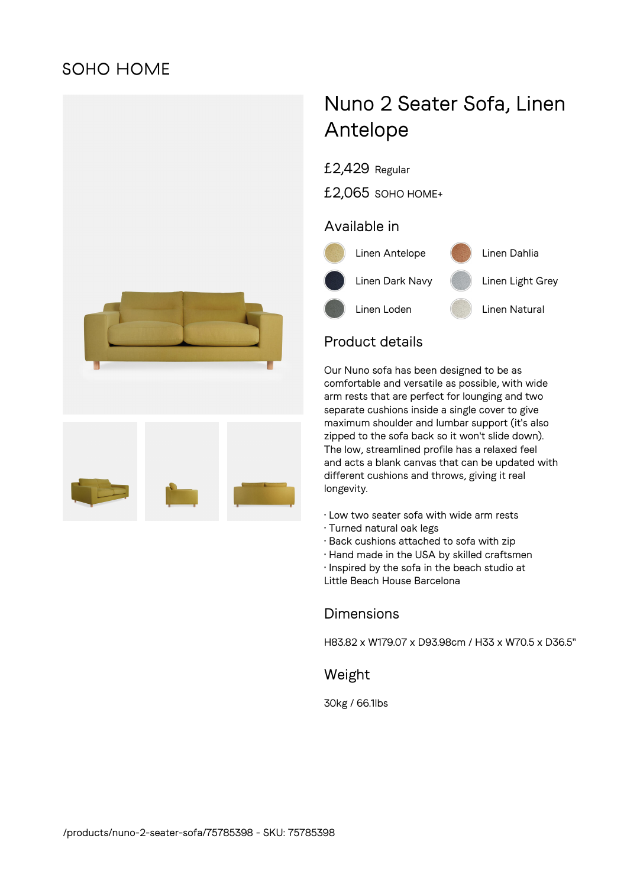# **SOHO HOME**



# Nuno 2 Seater Sofa, Linen Antelope

£2,429 Regular

£2,065 SOHO HOME+

#### Available in



## Product details

Our Nuno sofa has been designed to be as comfortable and versatile as possible, with wide arm rests that are perfect for lounging and two separate cushions inside a single cover to give maximum shoulder and lumbar support (it's also zipped to the sofa back so it won't slide down). The low, streamlined profile has a relaxed feel and acts a blank canvas that can be updated with different cushions and throws, giving it real longevity.

- Low two seater sofa with wide arm rests
- Turned natural oak legs
- Back cushions attached to sofa with zip
- Hand made in the USA by skilled craftsmen
- Inspired by the sofa in the beach studio at

Little Beach House Barcelona

#### **Dimensions**

H83.82 x W179.07 x D93.98cm / H33 x W70.5 x D36.5"

#### Weight

30kg / 66.1lbs